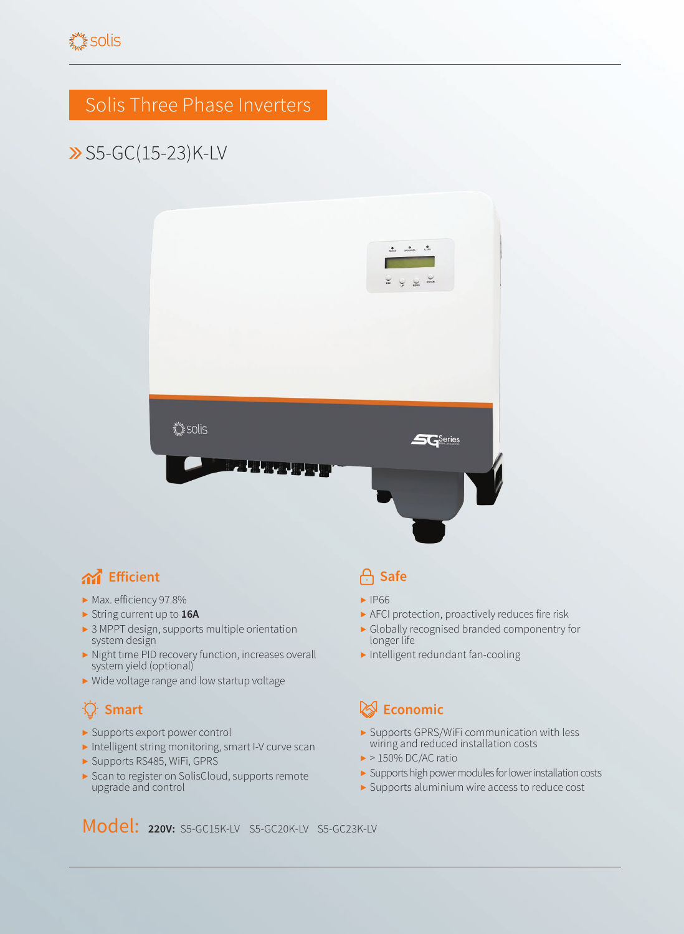## Solis Three Phase Inverters

# S5-GC(15-23)K-LV



#### **And** Efficient **Safe**

- ▶ Max. efficiency 97.8%
- ▶ String current up to **16A**
- ▶ 3 MPPT design, supports multiple orientation system design
- ▶ Night time PID recovery function, increases overall system yield (optional)
- ▶ Wide voltage range and low startup voltage

### ۰Q

- ▶ Supports export power control
- ▶ Intelligent string monitoring, smart I-V curve scan
- ▶ Supports RS485, WiFi, GPRS
- ▶ Scan to register on SolisCloud, supports remote upgrade and control

- ▶ IP66
- ▶ AFCI protection, proactively reduces fire risk
- ▶ Globally recognised branded componentry for longer life
- ▶ Intelligent redundant fan-cooling

#### **Smart Example 2018 Example 2019 Example 2019 Example 2019 Example 2019**

- ▶ Supports GPRS/WiFi communication with less wiring and reduced installation costs
- $\blacktriangleright$  > 150% DC/AC ratio
- ▶ Supports high power modules for lower installation costs
- ▶ Supports aluminium wire access to reduce cost

Model: **220V:** S5-GC15K-LV S5-GC20K-LV S5-GC23K-LV